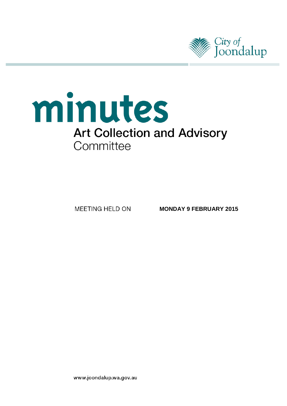

# minutes **Art Collection and Advisory** Committee

**MEETING HELD ON** 

**MONDAY 9 FEBRUARY 2015**

www.joondalup.wa.gov.au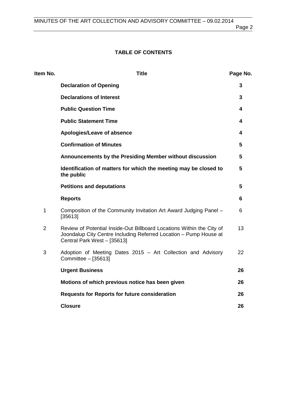# **TABLE OF CONTENTS**

| Item No.       | <b>Title</b>                                                                                                                                                              | Page No.       |
|----------------|---------------------------------------------------------------------------------------------------------------------------------------------------------------------------|----------------|
|                | <b>Declaration of Opening</b>                                                                                                                                             | 3              |
|                | <b>Declarations of Interest</b>                                                                                                                                           | 3              |
|                | <b>Public Question Time</b>                                                                                                                                               | 4              |
|                | <b>Public Statement Time</b>                                                                                                                                              | 4              |
|                | Apologies/Leave of absence                                                                                                                                                | 4              |
|                | <b>Confirmation of Minutes</b>                                                                                                                                            | 5              |
|                | Announcements by the Presiding Member without discussion                                                                                                                  | 5              |
|                | Identification of matters for which the meeting may be closed to<br>the public                                                                                            | $5\phantom{1}$ |
|                | <b>Petitions and deputations</b>                                                                                                                                          | 5              |
|                | <b>Reports</b>                                                                                                                                                            | 6              |
| 1              | Composition of the Community Invitation Art Award Judging Panel -<br>[35613]                                                                                              | 6              |
| $\overline{2}$ | Review of Potential Inside-Out Billboard Locations Within the City of<br>Joondalup City Centre Including Referred Location - Pump House at<br>Central Park West - [35613] | 13             |
| 3              | Adoption of Meeting Dates 2015 – Art Collection and Advisory<br>Committee - [35613]                                                                                       | 22             |
|                | <b>Urgent Business</b>                                                                                                                                                    | 26             |
|                | Motions of which previous notice has been given                                                                                                                           | 26             |
|                | <b>Requests for Reports for future consideration</b>                                                                                                                      | 26             |
|                | <b>Closure</b>                                                                                                                                                            | 26             |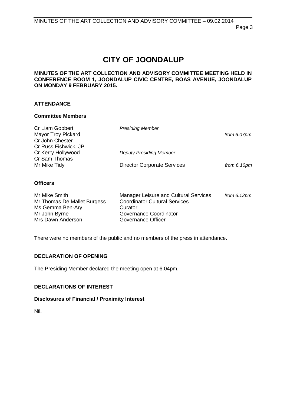# **CITY OF JOONDALUP**

# **MINUTES OF THE ART COLLECTION AND ADVISORY COMMITTEE MEETING HELD IN CONFERENCE ROOM 1, JOONDALUP CIVIC CENTRE, BOAS AVENUE, JOONDALUP ON MONDAY 9 FEBRUARY 2015.**

# **ATTENDANCE**

# **Committee Members**

| Cr Liam Gobbert           | <b>Presiding Member</b>            |               |
|---------------------------|------------------------------------|---------------|
| <b>Mayor Troy Pickard</b> |                                    | from 6.07pm   |
| Cr John Chester           |                                    |               |
| Cr Russ Fishwick, JP      |                                    |               |
| Cr Kerry Hollywood        | <b>Deputy Presiding Member</b>     |               |
| Cr Sam Thomas             |                                    |               |
| Mr Mike Tidy              | <b>Director Corporate Services</b> | from $6.10pm$ |
|                           |                                    |               |

# **Officers**

| Mr Mike Smith               | Manager Leisure and Cultural Services | from $6.12 \text{pm}$ |
|-----------------------------|---------------------------------------|-----------------------|
| Mr Thomas De Mallet Burgess | <b>Coordinator Cultural Services</b>  |                       |
| Ms Gemma Ben-Ary            | Curator                               |                       |
| Mr John Byrne               | Governance Coordinator                |                       |
| Mrs Dawn Anderson           | Governance Officer                    |                       |

There were no members of the public and no members of the press in attendance.

# <span id="page-2-0"></span>**DECLARATION OF OPENING**

The Presiding Member declared the meeting open at 6.04pm.

# <span id="page-2-1"></span>**DECLARATIONS OF INTEREST**

# **Disclosures of Financial / Proximity Interest**

Nil.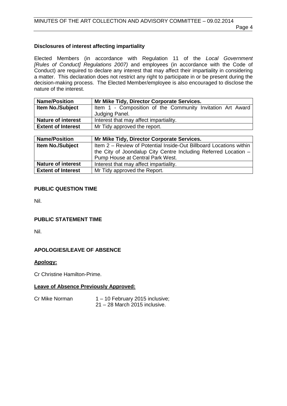# **Disclosures of interest affecting impartiality**

Elected Members (in accordance with Regulation 11 of the *Local Government [Rules of Conduct] Regulations 2007)* and employees (in accordance with the Code of Conduct) are required to declare any interest that may affect their impartiality in considering a matter. This declaration does not restrict any right to participate in or be present during the decision-making process. The Elected Member/employee is also encouraged to disclose the nature of the interest.

| <b>Name/Position</b>      | Mr Mike Tidy, Director Corporate Services.                 |
|---------------------------|------------------------------------------------------------|
| <b>Item No./Subject</b>   | Item 1 - Composition of the Community Invitation Art Award |
|                           | Judging Panel.                                             |
| <b>Nature of interest</b> | Interest that may affect impartiality.                     |
| <b>Extent of Interest</b> | Mr Tidy approved the report.                               |

| <b>Name/Position</b>      | Mr Mike Tidy, Director Corporate Services.                         |  |
|---------------------------|--------------------------------------------------------------------|--|
| <b>Item No./Subject</b>   | Item 2 - Review of Potential Inside-Out Billboard Locations within |  |
|                           | the City of Joondalup City Centre Including Referred Location $-$  |  |
|                           | Pump House at Central Park West.                                   |  |
| <b>Nature of interest</b> | Interest that may affect impartiality.                             |  |
| <b>Extent of Interest</b> | Mr Tidy approved the Report.                                       |  |

# <span id="page-3-0"></span>**PUBLIC QUESTION TIME**

Nil.

# <span id="page-3-1"></span>**PUBLIC STATEMENT TIME**

Nil.

# <span id="page-3-2"></span>**APOLOGIES/LEAVE OF ABSENCE**

# **Apology:**

Cr Christine Hamilton-Prime.

#### **Leave of Absence Previously Approved:**

Cr Mike Norman 1 – 10 February 2015 inclusive; 21 – 28 March 2015 inclusive.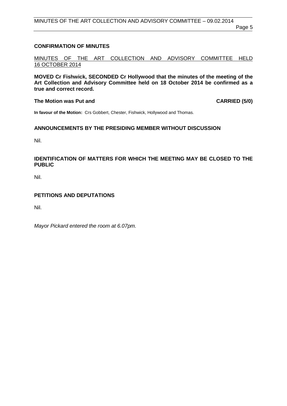# <span id="page-4-0"></span>**CONFIRMATION OF MINUTES**

MINUTES OF THE ART COLLECTION AND ADVISORY COMMITTEE HELD 16 OCTOBER 2014

**MOVED Cr Fishwick, SECONDED Cr Hollywood that the minutes of the meeting of the Art Collection and Advisory Committee held on 18 October 2014 be confirmed as a true and correct record.**

# **The Motion was Put and CARRIED (5/0)**

**In favour of the Motion:** Crs Gobbert, Chester, Fishwick, Hollywood and Thomas.

# <span id="page-4-1"></span>**ANNOUNCEMENTS BY THE PRESIDING MEMBER WITHOUT DISCUSSION**

Nil.

# <span id="page-4-2"></span>**IDENTIFICATION OF MATTERS FOR WHICH THE MEETING MAY BE CLOSED TO THE PUBLIC**

Nil.

# <span id="page-4-3"></span>**PETITIONS AND DEPUTATIONS**

Nil.

*Mayor Pickard entered the room at 6.07pm.*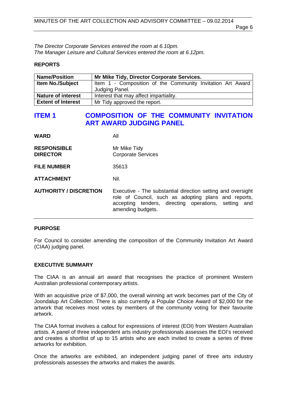*The Director Corporate Services entered the room at 6.10pm. The Manager Leisure and Cultural Services entered the room at 6.12pm.*

#### <span id="page-5-0"></span>**REPORTS**

| <b>Name/Position</b>      | Mr Mike Tidy, Director Corporate Services.                 |  |
|---------------------------|------------------------------------------------------------|--|
| <b>Item No./Subject</b>   | Item 1 - Composition of the Community Invitation Art Award |  |
|                           | Judging Panel.                                             |  |
| <b>Nature of interest</b> | Interest that may affect impartiality.                     |  |
| <b>Extent of Interest</b> | Mr Tidy approved the report.                               |  |

# <span id="page-5-1"></span>**ITEM 1 COMPOSITION OF THE COMMUNITY INVITATION ART AWARD JUDGING PANEL**

| <b>WARD</b>                           | All                                                                                                                                                                                              |
|---------------------------------------|--------------------------------------------------------------------------------------------------------------------------------------------------------------------------------------------------|
| <b>RESPONSIBLE</b><br><b>DIRECTOR</b> | Mr Mike Tidy<br><b>Corporate Services</b>                                                                                                                                                        |
| <b>FILE NUMBER</b>                    | 35613                                                                                                                                                                                            |
| <b>ATTACHMENT</b>                     | Nil.                                                                                                                                                                                             |
| <b>AUTHORITY / DISCRETION</b>         | Executive - The substantial direction setting and oversight<br>role of Council, such as adopting plans and reports,<br>accepting tenders, directing operations, setting and<br>amending budgets. |

#### **PURPOSE**

For Council to consider amending the composition of the Community Invitation Art Award (CIAA) judging panel.

#### **EXECUTIVE SUMMARY**

The CIAA is an annual art award that recognises the practice of prominent Western Australian professional contemporary artists.

With an acquisitive prize of \$7,000, the overall winning art work becomes part of the City of Joondalup Art Collection. There is also currently a Popular Choice Award of \$2,000 for the artwork that receives most votes by members of the community voting for their favourite artwork.

The CIAA format involves a callout for expressions of interest (EOI) from Western Australian artists. A panel of three independent arts industry professionals assesses the EOI's received and creates a shortlist of up to 15 artists who are each invited to create a series of three artworks for exhibition.

Once the artworks are exhibited, an independent judging panel of three arts industry professionals assesses the artworks and makes the awards.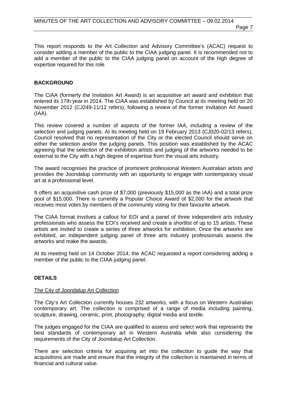This report responds to the Art Collection and Advisory Committee's (ACAC) request to consider adding a member of the public to the CIAA judging panel. It is recommended not to add a member of the public to the CIAA judging panel on account of the high degree of expertise required for this role.

# **BACKGROUND**

The CIAA (formerly the Invitation Art Award) is an acquisitive art award and exhibition that entered its 17th year in 2014. The CIAA was established by Council at its meeting held on 20 November 2012 (CJ249-11/12 refers), following a review of the former Invitation Art Award (IAA).

This review covered a number of aspects of the former IAA, including a review of the selection and judging panels. At its meeting held on 19 February 2013 (CJ020-02/13 refers), Council resolved that no representation of the City or the elected Council should serve on either the selection and/or the judging panels. This position was established by the ACAC agreeing that the selection of the exhibition artists and judging of the artworks needed to be external to the City with a high degree of expertise from the visual arts industry.

The award recognises the practice of prominent professional Western Australian artists and provides the Joondalup community with an opportunity to engage with contemporary visual art at a professional level.

It offers an acquisitive cash prize of \$7,000 (previously \$15,000 as the IAA) and a total prize pool of \$15,000. There is currently a Popular Choice Award of \$2,000 for the artwork that receives most votes by members of the community voting for their favourite artwork.

The CIAA format involves a callout for EOI and a panel of three independent arts industry professionals who assess the EOI's received and create a shortlist of up to 15 artists. These artists are invited to create a series of three artworks for exhibition. Once the artworks are exhibited, an independent judging panel of three arts industry professionals assess the artworks and make the awards.

At its meeting held on 14 October 2014, the ACAC requested a report considering adding a member of the public to the CIAA judging panel.

# **DETAILS**

#### The City of Joondalup Art Collection

The City's Art Collection currently houses 232 artworks, with a focus on Western Australian contemporary art. The collection is comprised of a range of media including painting, sculpture, drawing, ceramic, print, photography, digital media and textile.

The judges engaged for the CIAA are qualified to assess and select work that represents the best standards of contemporary art in Western Australia while also considering the requirements of the City of Joondalup Art Collection.

There are selection criteria for acquiring art into the collection to guide the way that acquisitions are made and ensure that the integrity of the collection is maintained in terms of financial and cultural value.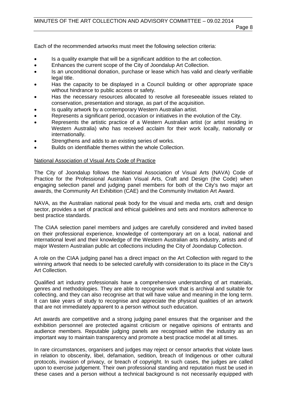Each of the recommended artworks must meet the following selection criteria:

- Is a quality example that will be a significant addition to the art collection.
- Enhances the current scope of the City of Joondalup Art Collection.
- Is an unconditional donation, purchase or lease which has valid and clearly verifiable legal title.
- Has the capacity to be displayed in a Council building or other appropriate space without hindrance to public access or safety.
- Has the necessary resources allocated to resolve all foreseeable issues related to conservation, presentation and storage, as part of the acquisition.
- Is quality artwork by a contemporary Western Australian artist.
- Represents a significant period, occasion or initiatives in the evolution of the City.
- Represents the artistic practice of a Western Australian artist (or artist residing in Western Australia) who has received acclaim for their work locally, nationally or internationally.
- Strengthens and adds to an existing series of works.
- Builds on identifiable themes within the whole Collection.

# National Association of Visual Arts Code of Practice

The City of Joondalup follows the National Association of Visual Arts (NAVA) Code of Practice for the Professional Australian Visual Arts, Craft and Design (the Code) when engaging selection panel and judging panel members for both of the City's two major art awards, the Community Art Exhibition (CAE) and the Community Invitation Art Award.

NAVA, as the Australian national peak body for the visual and media arts, craft and design sector, provides a set of practical and ethical guidelines and sets and monitors adherence to best practice standards.

The CIAA selection panel members and judges are carefully considered and invited based on their professional experience, knowledge of contemporary art on a local, national and international level and their knowledge of the Western Australian arts industry, artists and of major Western Australian public art collections including the City of Joondalup Collection.

A role on the CIAA judging panel has a direct impact on the Art Collection with regard to the winning artwork that needs to be selected carefully with consideration to its place in the City's Art Collection.

Qualified art industry professionals have a comprehensive understanding of art materials, genres and methodologies. They are able to recognise work that is archival and suitable for collecting, and they can also recognise art that will have value and meaning in the long term. It can take years of study to recognise and appreciate the physical qualities of an artwork that are not immediately apparent to a person without such education.

Art awards are competitive and a strong judging panel ensures that the organiser and the exhibition personnel are protected against criticism or negative opinions of entrants and audience members. Reputable judging panels are recognised within the industry as an important way to maintain transparency and promote a best practice model at all times.

In rare circumstances, organisers and judges may reject or censor artworks that violate laws in relation to obscenity, libel, defamation, sedition, breach of Indigenous or other cultural protocols, invasion of privacy, or breach of copyright. In such cases, the judges are called upon to exercise judgement. Their own professional standing and reputation must be used in these cases and a person without a technical background is not necessarily equipped with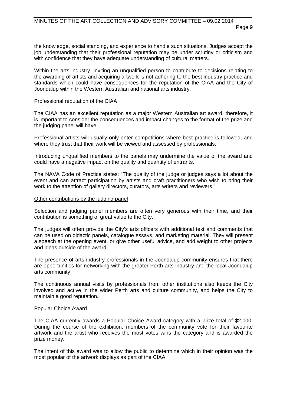the knowledge, social standing, and experience to handle such situations. Judges accept the job understanding that their professional reputation may be under scrutiny or criticism and with confidence that they have adequate understanding of cultural matters.

Within the arts industry, inviting an unqualified person to contribute to decisions relating to the awarding of artists and acquiring artwork is not adhering to the best industry practice and standards which could have consequences for the reputation of the CIAA and the City of Joondalup within the Western Australian and national arts industry.

#### Professional reputation of the CIAA

The CIAA has an excellent reputation as a major Western Australian art award, therefore, it is important to consider the consequences and impact changes to the format of the prize and the judging panel will have.

Professional artists will usually only enter competitions where best practice is followed, and where they trust that their work will be viewed and assessed by professionals.

Introducing unqualified members to the panels may undermine the value of the award and could have a negative impact on the quality and quantity of entrants.

The NAVA Code of Practice states: "The quality of the judge or judges says a lot about the event and can attract participation by artists and craft practitioners who wish to bring their work to the attention of gallery directors, curators, arts writers and reviewers."

#### Other contributions by the judging panel

Selection and judging panel members are often very generous with their time, and their contribution is something of great value to the City.

The judges will often provide the City's arts officers with additional text and comments that can be used on didactic panels, catalogue essays, and marketing material. They will present a speech at the opening event, or give other useful advice, and add weight to other projects and ideas outside of the award.

The presence of arts industry professionals in the Joondalup community ensures that there are opportunities for networking with the greater Perth arts industry and the local Joondalup arts community.

The continuous annual visits by professionals from other institutions also keeps the City involved and active in the wider Perth arts and culture community, and helps the City to maintain a good reputation.

#### Popular Choice Award

The CIAA currently awards a Popular Choice Award category with a prize total of \$2,000. During the course of the exhibition, members of the community vote for their favourite artwork and the artist who receives the most votes wins the category and is awarded the prize money.

The intent of this award was to allow the public to determine which in their opinion was the most popular of the artwork displays as part of the CIAA.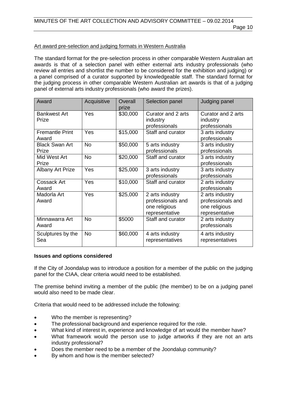# Art award pre-selection and judging formats in Western Australia

The standard format for the pre-selection process in other comparable Western Australian art awards is that of a selection panel with either external arts industry professionals (who review all entries and shortlist the number to be considered for the exhibition and judging) or a panel comprised of a curator supported by knowledgeable staff. The standard format for the judging process in other comparable Western Australian art awards is that of a judging panel of external arts industry professionals (who award the prizes).

| Award                           | Acquisitive | Overall<br>prize | Selection panel                                                         | Judging panel                                                           |
|---------------------------------|-------------|------------------|-------------------------------------------------------------------------|-------------------------------------------------------------------------|
| <b>Bankwest Art</b><br>Prize    | Yes         | \$30,000         | Curator and 2 arts<br>industry<br>professionals                         | Curator and 2 arts<br>industry<br>professionals                         |
| <b>Fremantle Print</b><br>Award | Yes         | \$15,000         | Staff and curator                                                       | 3 arts industry<br>professionals                                        |
| <b>Black Swan Art</b><br>Prize  | <b>No</b>   | \$50,000         | 5 arts industry<br>professionals                                        | 3 arts industry<br>professionals                                        |
| Mid West Art<br>Prize           | <b>No</b>   | \$20,000         | Staff and curator                                                       | 3 arts industry<br>professionals                                        |
| <b>Albany Art Prize</b>         | Yes         | \$25,000         | 3 arts industry<br>professionals                                        | 3 arts industry<br>professionals                                        |
| Cossack Art<br>Award            | Yes         | \$10,000         | Staff and curator                                                       | 2 arts industry<br>professionals                                        |
| Madorla Art<br>Award            | Yes         | \$25,000         | 2 arts industry<br>professionals and<br>one religious<br>representative | 2 arts industry<br>professionals and<br>one religious<br>representative |
| Minnawarra Art<br>Award         | <b>No</b>   | \$5000           | Staff and curator                                                       | 2 arts industry<br>professionals                                        |
| Sculptures by the<br>Sea        | <b>No</b>   | \$60,000         | 4 arts industry<br>representatives                                      | 4 arts industry<br>representatives                                      |

#### **Issues and options considered**

If the City of Joondalup was to introduce a position for a member of the public on the judging panel for the CIAA, clear criteria would need to be established.

The premise behind inviting a member of the public (the member) to be on a judging panel would also need to be made clear.

Criteria that would need to be addressed include the following:

- Who the member is representing?
- The professional background and experience required for the role.
- What kind of interest in, experience and knowledge of art would the member have?
- What framework would the person use to judge artworks if they are not an arts industry professional?
- Does the member need to be a member of the Joondalup community?
- By whom and how is the member selected?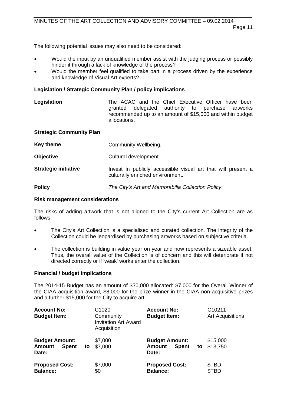The following potential issues may also need to be considered:

- Would the input by an unqualified member assist with the judging process or possibly hinder it through a lack of knowledge of the process?
- Would the member feel qualified to take part in a process driven by the experience and knowledge of Visual Art experts?

# **Legislation / Strategic Community Plan / policy implications**

**Legislation** The ACAC and the Chief Executive Officer have been<br>aranted delegated authority to purchase artworks granted delegated authority to purchase recommended up to an amount of \$15,000 and within budget allocations.

#### **Strategic Community Plan**

| Key theme                   | Community Wellbeing.                                                                             |
|-----------------------------|--------------------------------------------------------------------------------------------------|
| <b>Objective</b>            | Cultural development.                                                                            |
| <b>Strategic initiative</b> | Invest in publicly accessible visual art that will present a<br>culturally enriched environment. |

**Policy** *The City's Art and Memorabilia Collection Policy*.

#### **Risk management considerations**

The risks of adding artwork that is not aligned to the City's current Art Collection are as follows:

- The City's Art Collection is a specialised and curated collection. The integrity of the Collection could be jeopardised by purchasing artworks based on subjective criteria.
- The collection is building in value year on year and now represents a sizeable asset. Thus, the overall value of the Collection is of concern and this will deteriorate if not directed correctly or if 'weak' works enter the collection.

#### **Financial / budget implications**

The 2014-15 Budget has an amount of \$30,000 allocated: \$7,000 for the Overall Winner of the CIAA acquisition award, \$8,000 for the prize winner in the CIAA non-acquisitive prizes and a further \$15,000 for the City to acquire art.

| <b>Account No:</b><br><b>Budget Item:</b>                |    | C1020<br>Community<br><b>Invitation Art Award</b><br>Acquisition | <b>Account No:</b><br><b>Budget Item:</b>                       |    | C10211<br><b>Art Acquisitions</b> |
|----------------------------------------------------------|----|------------------------------------------------------------------|-----------------------------------------------------------------|----|-----------------------------------|
| <b>Budget Amount:</b><br><b>Spent</b><br>Amount<br>Date: | to | \$7,000<br>\$7,000                                               | <b>Budget Amount:</b><br><b>Spent</b><br><b>Amount</b><br>Date: | to | \$15,000<br>\$13,750              |
| <b>Proposed Cost:</b><br><b>Balance:</b>                 |    | \$7,000<br>\$0                                                   | <b>Proposed Cost:</b><br><b>Balance:</b>                        |    | \$TBD<br>\$TBD                    |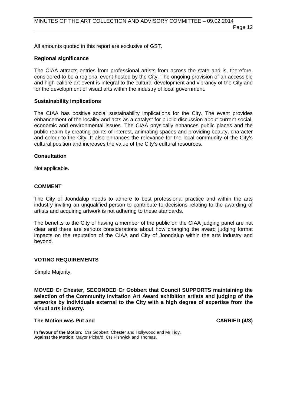Page 12

All amounts quoted in this report are exclusive of GST.

# **Regional significance**

The CIAA attracts entries from professional artists from across the state and is, therefore, considered to be a regional event hosted by the City. The ongoing provision of an accessible and high-calibre art event is integral to the cultural development and vibrancy of the City and for the development of visual arts within the industry of local government.

# **Sustainability implications**

The CIAA has positive social sustainability implications for the City. The event provides enhancement of the locality and acts as a catalyst for public discussion about current social, economic and environmental issues. The CIAA physically enhances public places and the public realm by creating points of interest, animating spaces and providing beauty, character and colour to the City. It also enhances the relevance for the local community of the City's cultural position and increases the value of the City's cultural resources.

# **Consultation**

Not applicable.

# **COMMENT**

The City of Joondalup needs to adhere to best professional practice and within the arts industry inviting an unqualified person to contribute to decisions relating to the awarding of artists and acquiring artwork is not adhering to these standards.

The benefits to the City of having a member of the public on the CIAA judging panel are not clear and there are serious considerations about how changing the award judging format impacts on the reputation of the CIAA and City of Joondalup within the arts industry and beyond.

#### **VOTING REQUIREMENTS**

Simple Majority.

**MOVED Cr Chester, SECONDED Cr Gobbert that Council SUPPORTS maintaining the selection of the Community Invitation Art Award exhibition artists and judging of the artworks by individuals external to the City with a high degree of expertise from the visual arts industry.**

#### **The Motion was Put and CARRIED (4/3)**

**In favour of the Motion:** Crs Gobbert, Chester and Hollywood and Mr Tidy. **Against the Motion**: Mayor Pickard, Crs Fishwick and Thomas.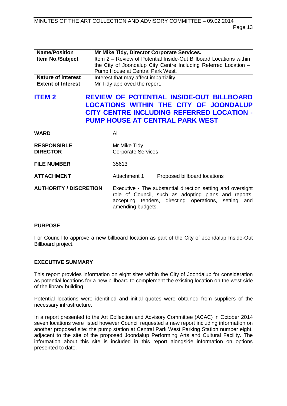| <b>Name/Position</b>      | Mr Mike Tidy, Director Corporate Services.                         |  |
|---------------------------|--------------------------------------------------------------------|--|
| <b>Item No./Subject</b>   | Item 2 - Review of Potential Inside-Out Billboard Locations within |  |
|                           | the City of Joondalup City Centre Including Referred Location -    |  |
|                           | Pump House at Central Park West.                                   |  |
| <b>Nature of interest</b> | Interest that may affect impartiality.                             |  |
| <b>Extent of Interest</b> | Mr Tidy approved the report.                                       |  |

# <span id="page-12-0"></span>**ITEM 2 REVIEW OF POTENTIAL INSIDE-OUT BILLBOARD LOCATIONS WITHIN THE CITY OF JOONDALUP CITY CENTRE INCLUDING REFERRED LOCATION - PUMP HOUSE AT CENTRAL PARK WEST**

| WARD                                  | All                                                                                                                                                                                              |
|---------------------------------------|--------------------------------------------------------------------------------------------------------------------------------------------------------------------------------------------------|
| <b>RESPONSIBLE</b><br><b>DIRECTOR</b> | Mr Mike Tidy<br><b>Corporate Services</b>                                                                                                                                                        |
| <b>FILE NUMBER</b>                    | 35613                                                                                                                                                                                            |
| <b>ATTACHMENT</b>                     | Attachment 1<br>Proposed billboard locations                                                                                                                                                     |
| <b>AUTHORITY / DISCRETION</b>         | Executive - The substantial direction setting and oversight<br>role of Council, such as adopting plans and reports,<br>accepting tenders, directing operations, setting and<br>amending budgets. |

# **PURPOSE**

For Council to approve a new billboard location as part of the City of Joondalup Inside-Out Billboard project.

# **EXECUTIVE SUMMARY**

This report provides information on eight sites within the City of Joondalup for consideration as potential locations for a new billboard to complement the existing location on the west side of the library building.

Potential locations were identified and initial quotes were obtained from suppliers of the necessary infrastructure.

In a report presented to the Art Collection and Advisory Committee (ACAC) in October 2014 seven locations were listed however Council requested a new report including information on another proposed site: the pump station at Central Park West Parking Station number eight, adjacent to the site of the proposed Joondalup Performing Arts and Cultural Facility. The information about this site is included in this report alongside information on options presented to date.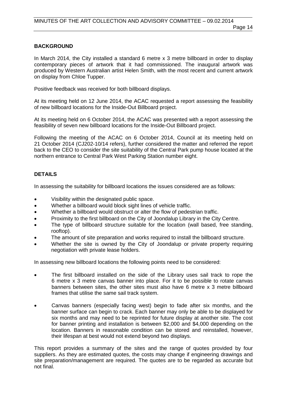# **BACKGROUND**

In March 2014, the City installed a standard 6 metre x 3 metre billboard in order to display contemporary pieces of artwork that it had commissioned. The inaugural artwork was produced by Western Australian artist Helen Smith, with the most recent and current artwork on display from Chloe Tupper.

Positive feedback was received for both billboard displays.

At its meeting held on 12 June 2014, the ACAC requested a report assessing the feasibility of new billboard locations for the Inside-Out Billboard project.

At its meeting held on 6 October 2014, the ACAC was presented with a report assessing the feasibility of seven new billboard locations for the Inside-Out Billboard project.

Following the meeting of the ACAC on 6 October 2014, Council at its meeting held on 21 October 2014 (CJ202-10/14 refers), further considered the matter and referred the report back to the CEO to consider the site suitability of the Central Park pump house located at the northern entrance to Central Park West Parking Station number eight.

# **DETAILS**

In assessing the suitability for billboard locations the issues considered are as follows:

- Visibility within the designated public space.
- Whether a billboard would block sight lines of vehicle traffic.
- Whether a billboard would obstruct or alter the flow of pedestrian traffic.
- Proximity to the first billboard on the City of Joondalup Library in the City Centre.
- The type of billboard structure suitable for the location (wall based, free standing, rooftop).
- The amount of site preparation and works required to install the billboard structure.
- Whether the site is owned by the City of Joondalup or private property requiring negotiation with private lease holders.

In assessing new billboard locations the following points need to be considered:

- The first billboard installed on the side of the Library uses sail track to rope the 6 metre x 3 metre canvas banner into place. For it to be possible to rotate canvas banners between sites, the other sites must also have 6 metre x 3 metre billboard frames that utilise the same sail track system.
- Canvas banners (especially facing west) begin to fade after six months, and the banner surface can begin to crack. Each banner may only be able to be displayed for six months and may need to be reprinted for future display at another site. The cost for banner printing and installation is between \$2,000 and \$4,000 depending on the location. Banners in reasonable condition can be stored and reinstalled, however, their lifespan at best would not extend beyond two displays.

This report provides a summary of the sites and the range of quotes provided by four suppliers. As they are estimated quotes, the costs may change if engineering drawings and site preparation/management are required. The quotes are to be regarded as accurate but not final.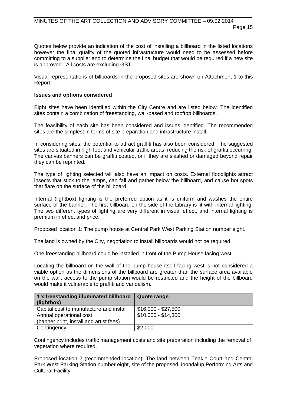Quotes below provide an indication of the cost of installing a billboard in the listed locations however the final quality of the quoted infrastructure would need to be assessed before committing to a supplier and to determine the final budget that would be required if a new site is approved. All costs are excluding GST.

Visual representations of billboards in the proposed sites are shown on Attachment 1 to this Report.

#### **Issues and options considered**

Eight sites have been identified within the City Centre and are listed below. The identified sites contain a combination of freestanding, wall-based and rooftop billboards.

The feasibility of each site has been considered and issues identified. The recommended sites are the simplest in terms of site preparation and infrastructure install.

In considering sites, the potential to attract graffiti has also been considered. The suggested sites are situated in high foot and vehicular traffic areas, reducing the risk of graffiti occurring. The canvas banners can be graffiti coated, or if they are slashed or damaged beyond repair they can be reprinted.

The type of lighting selected will also have an impact on costs. External floodlights attract insects that stick to the lamps, can fall and gather below the billboard, and cause hot spots that flare on the surface of the billboard.

Internal (lightbox) lighting is the preferred option as it is uniform and washes the entire surface of the banner. The first billboard on the side of the Library is lit with internal lighting. The two different types of lighting are very different in visual effect, and internal lighting is premium in effect and price.

Proposed location 1: The pump house at Central Park West Parking Station number eight.

The land is owned by the City, negotiation to install billboards would not be required.

One freestanding billboard could be installed in front of the Pump House facing west.

Locating the billboard on the wall of the pump house itself facing west is not considered a viable option as the dimensions of the billboard are greater than the surface area available on the wall, access to the pump station would be restricted and the height of the billboard would make it vulnerable to graffiti and vandalism.

| 1 x freestanding illuminated billboard<br>(lightbox) | Quote range         |
|------------------------------------------------------|---------------------|
| Capital cost to manufacture and install              | $$16,000 - $27,500$ |
| Annual operational cost                              | $$10,000 - $14,300$ |
| (banner print, install and artist fees)              |                     |
| Contingency                                          | \$2,000             |

Contingency includes traffic management costs and site preparation including the removal of vegetation where required.

Proposed location 2 (recommended location): The land between Teakle Court and Central Park West Parking Station number eight, site of the proposed Joondalup Performing Arts and Cultural Facility.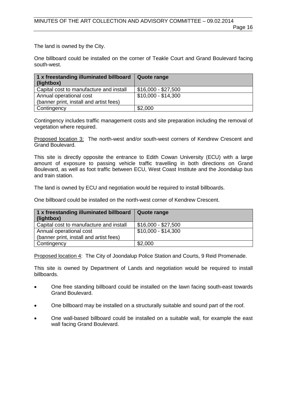The land is owned by the City.

One billboard could be installed on the corner of Teakle Court and Grand Boulevard facing south-west.

| 1 x freestanding illuminated billboard Quote range<br>(lightbox) |                     |
|------------------------------------------------------------------|---------------------|
| Capital cost to manufacture and install                          | $$16,000 - $27,500$ |
| Annual operational cost                                          | $$10,000 - $14,300$ |
| (banner print, install and artist fees)                          |                     |
| Contingency                                                      | \$2,000             |

Contingency includes traffic management costs and site preparation including the removal of vegetation where required.

Proposed location 3: The north-west and/or south-west corners of Kendrew Crescent and Grand Boulevard.

This site is directly opposite the entrance to Edith Cowan University (ECU) with a large amount of exposure to passing vehicle traffic travelling in both directions on Grand Boulevard, as well as foot traffic between ECU, West Coast Institute and the Joondalup bus and train station.

The land is owned by ECU and negotiation would be required to install billboards.

One billboard could be installed on the north-west corner of Kendrew Crescent.

| 1 x freestanding illuminated billboard<br>(lightbox) | Quote range         |
|------------------------------------------------------|---------------------|
| Capital cost to manufacture and install              | $$16,000 - $27,500$ |
| Annual operational cost                              | $$10,000 - $14,300$ |
| (banner print, install and artist fees)              |                     |
| Contingency                                          | \$2,000             |

Proposed location 4: The City of Joondalup Police Station and Courts, 9 Reid Promenade.

This site is owned by Department of Lands and negotiation would be required to install billboards.

- One free standing billboard could be installed on the lawn facing south-east towards Grand Boulevard.
- One billboard may be installed on a structurally suitable and sound part of the roof.
- One wall-based billboard could be installed on a suitable wall, for example the east wall facing Grand Boulevard.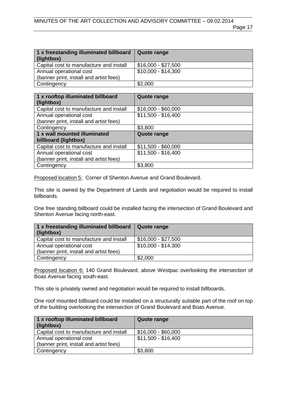| 1 x freestanding illuminated billboard   Quote range<br>(lightbox) |                     |
|--------------------------------------------------------------------|---------------------|
| Capital cost to manufacture and install                            | $$16,000 - $27,500$ |
| Annual operational cost                                            | $$10,000 - $14,300$ |
| (banner print, install and artist fees)                            |                     |
| Contingency                                                        | \$2,000             |

| 1 x rooftop illuminated billboard       | <b>Quote range</b>  |
|-----------------------------------------|---------------------|
| (lightbox)                              |                     |
| Capital cost to manufacture and install | $$16,000 - $60,000$ |
| Annual operational cost                 | $$11,500 - $16,400$ |
| (banner print, install and artist fees) |                     |
| Contingency                             | \$3,800             |
| 1 x wall mounted illuminated            | <b>Quote range</b>  |
| billboard (lightbox)                    |                     |
| Capital cost to manufacture and install | $$11,500 - $60,000$ |
| Annual operational cost                 | $$11,500 - $16,400$ |
| (banner print, install and artist fees) |                     |
| Contingency                             | \$3,800             |

Proposed location 5: Corner of Shenton Avenue and Grand Boulevard.

This site is owned by the Department of Lands and negotiation would be required to install billboards.

One free standing billboard could be installed facing the intersection of Grand Boulevard and Shenton Avenue facing north-east.

| 1 x freestanding illuminated billboard   Quote range<br>(lightbox) |                     |
|--------------------------------------------------------------------|---------------------|
| Capital cost to manufacture and install                            | $$16,000 - $27,500$ |
| Annual operational cost<br>(banner print, install and artist fees) | $$10,000 - $14,300$ |
| Contingency                                                        | \$2,000             |

Proposed location 6: 140 Grand Boulevard, above Westpac overlooking the intersection of Boas Avenue facing south-east.

This site is privately owned and negotiation would be required to install billboards.

One roof mounted billboard could be installed on a structurally suitable part of the roof on top of the building overlooking the intersection of Grand Boulevard and Boas Avenue.

| 1 x rooftop illuminated billboard       | Quote range         |
|-----------------------------------------|---------------------|
| (lightbox)                              |                     |
| Capital cost to manufacture and install | $$16,000 - $60,000$ |
| Annual operational cost                 | \$11,500 - \$16,400 |
| (banner print, install and artist fees) |                     |
| Contingency                             | \$3,800             |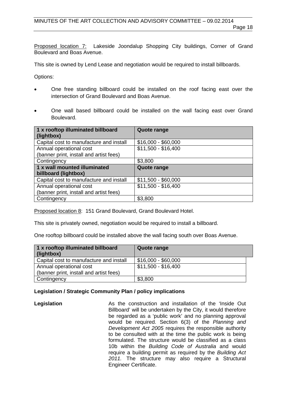Proposed location 7: Lakeside Joondalup Shopping City buildings, Corner of Grand Boulevard and Boas Avenue.

This site is owned by Lend Lease and negotiation would be required to install billboards.

Options:

- One free standing billboard could be installed on the roof facing east over the intersection of Grand Boulevard and Boas Avenue.
- One wall based billboard could be installed on the wall facing east over Grand Boulevard.

| 1 x rooftop illuminated billboard       | <b>Quote range</b>  |
|-----------------------------------------|---------------------|
| (lightbox)                              |                     |
| Capital cost to manufacture and install | $$16,000 - $60,000$ |
| Annual operational cost                 | $$11,500 - $16,400$ |
| (banner print, install and artist fees) |                     |
| Contingency                             | \$3,800             |
| 1 x wall mounted illuminated            | <b>Quote range</b>  |
| billboard (lightbox)                    |                     |
| Capital cost to manufacture and install | $$11,500 - $60,000$ |
| Annual operational cost                 | $$11,500 - $16,400$ |
| (banner print, install and artist fees) |                     |
| Contingency                             | \$3,800             |

Proposed location 8: 151 Grand Boulevard, Grand Boulevard Hotel.

This site is privately owned, negotiation would be required to install a billboard.

One rooftop billboard could be installed above the wall facing south over Boas Avenue.

| 1 x rooftop illuminated billboard<br>(lightbox) | Quote range         |
|-------------------------------------------------|---------------------|
| Capital cost to manufacture and install         | $$16,000 - $60,000$ |
| Annual operational cost                         | $$11,500 - $16,400$ |
| (banner print, install and artist fees)         |                     |
| Contingency                                     | \$3,800             |

# **Legislation / Strategic Community Plan / policy implications**

**Legislation As the construction and installation of the 'Inside Out** Billboard' will be undertaken by the City, it would therefore be regarded as a 'public work' and no planning approval would be required. Section 6(3) of the *Planning and Development Act 2005* requires the responsible authority to be consulted with at the time the public work is being formulated. The structure would be classified as a class 10b within the *Building Code of Australia* and would require a building permit as required by the *Building Act 2011.* The structure may also require a Structural Engineer Certificate.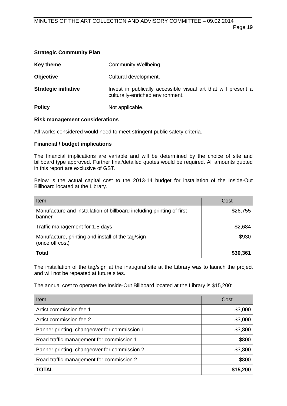|  | <b>Strategic Community Plan</b> |
|--|---------------------------------|
|--|---------------------------------|

| Key theme                   | Community Wellbeing.                                                                               |
|-----------------------------|----------------------------------------------------------------------------------------------------|
| <b>Objective</b>            | Cultural development.                                                                              |
| <b>Strategic initiative</b> | Invest in publically accessible visual art that will present a<br>culturally-enriched environment. |
| <b>Policy</b>               | Not applicable.                                                                                    |

# **Risk management considerations**

All works considered would need to meet stringent public safety criteria.

# **Financial / budget implications**

The financial implications are variable and will be determined by the choice of site and billboard type approved. Further final/detailed quotes would be required. All amounts quoted in this report are exclusive of GST.

Below is the actual capital cost to the 2013-14 budget for installation of the Inside-Out Billboard located at the Library.

| Item                                                                            | Cost     |
|---------------------------------------------------------------------------------|----------|
| Manufacture and installation of billboard including printing of first<br>banner | \$26,755 |
| Traffic management for 1.5 days                                                 | \$2,684  |
| Manufacture, printing and install of the tag/sign<br>(once off cost)            | \$930    |
| <b>Total</b>                                                                    | \$30,361 |

The installation of the tag/sign at the inaugural site at the Library was to launch the project and will not be repeated at future sites.

The annual cost to operate the Inside-Out Billboard located at the Library is \$15,200:

| Item                                         | Cost     |
|----------------------------------------------|----------|
| Artist commission fee 1                      | \$3,000  |
| Artist commission fee 2                      | \$3,000  |
| Banner printing, changeover for commission 1 | \$3,800  |
| Road traffic management for commission 1     | \$800    |
| Banner printing, changeover for commission 2 | \$3,800  |
| Road traffic management for commission 2     | \$800    |
| TOTAL                                        | \$15,200 |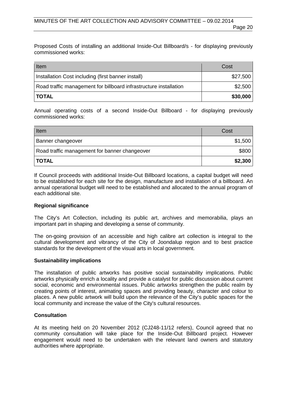Proposed Costs of installing an additional Inside-Out Billboard/s - for displaying previously commissioned works:

| Item                                                              | Cost     |
|-------------------------------------------------------------------|----------|
| Installation Cost including (first banner install)                | \$27,500 |
| Road traffic management for billboard infrastructure installation | \$2,500  |
| <b>TOTAL</b>                                                      | \$30,000 |

Annual operating costs of a second Inside-Out Billboard - for displaying previously commissioned works:

| Item                                          | Cost    |
|-----------------------------------------------|---------|
| Banner changeover                             | \$1,500 |
| Road traffic management for banner changeover | \$800   |
| <b>TOTAL</b>                                  | \$2,300 |

If Council proceeds with additional Inside-Out Billboard locations, a capital budget will need to be established for each site for the design, manufacture and installation of a billboard. An annual operational budget will need to be established and allocated to the annual program of each additional site.

# **Regional significance**

The City's Art Collection, including its public art, archives and memorabilia, plays an important part in shaping and developing a sense of community.

The on-going provision of an accessible and high calibre art collection is integral to the cultural development and vibrancy of the City of Joondalup region and to best practice standards for the development of the visual arts in local government.

#### **Sustainability implications**

The installation of public artworks has positive social sustainability implications. Public artworks physically enrich a locality and provide a catalyst for public discussion about current social, economic and environmental issues. Public artworks strengthen the public realm by creating points of interest, animating spaces and providing beauty, character and colour to places. A new public artwork will build upon the relevance of the City's public spaces for the local community and increase the value of the City's cultural resources.

# **Consultation**

At its meeting held on 20 November 2012 (CJ248-11/12 refers), Council agreed that no community consultation will take place for the Inside-Out Billboard project. However engagement would need to be undertaken with the relevant land owners and statutory authorities where appropriate.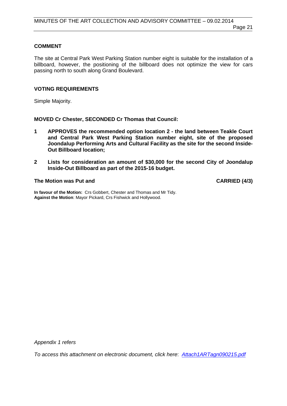# **COMMENT**

The site at Central Park West Parking Station number eight is suitable for the installation of a billboard, however, the positioning of the billboard does not optimize the view for cars passing north to south along Grand Boulevard.

# **VOTING REQUIREMENTS**

Simple Majority.

**MOVED Cr Chester, SECONDED Cr Thomas that Council:** 

- **1 APPROVES the recommended option location 2 the land between Teakle Court and Central Park West Parking Station number eight, site of the proposed Joondalup Performing Arts and Cultural Facility as the site for the second Inside-Out Billboard location;**
- **2 Lists for consideration an amount of \$30,000 for the second City of Joondalup Inside-Out Billboard as part of the 2015-16 budget.**

# **The Motion was Put and CARRIED (4/3)**

**In favour of the Motion:** Crs Gobbert, Chester and Thomas and Mr Tidy. **Against the Motion**: Mayor Pickard, Crs Fishwick and Hollywood.

*Appendix 1 refers*

*[To access this attachment on electronic document, click here](http://www.joondalup.wa.gov.au/files/committees/ACAC/2015/Attach1ARTagn090215.pdf)*: *Attach1ARTagn090215.pdf*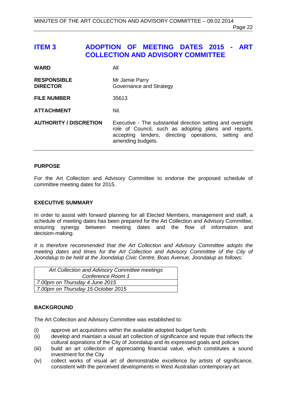Page 22

# <span id="page-21-0"></span>**ITEM 3 ADOPTION OF MEETING DATES 2015 - ART COLLECTION AND ADVISORY COMMITTEE**

| <b>WARD</b>                           | All                                                                                                                                                                                              |
|---------------------------------------|--------------------------------------------------------------------------------------------------------------------------------------------------------------------------------------------------|
| <b>RESPONSIBLE</b><br><b>DIRECTOR</b> | Mr Jamie Parry<br>Governance and Strategy                                                                                                                                                        |
| <b>FILE NUMBER</b>                    | 35613                                                                                                                                                                                            |
| <b>ATTACHMENT</b>                     | Nil.                                                                                                                                                                                             |
| <b>AUTHORITY / DISCRETION</b>         | Executive - The substantial direction setting and oversight<br>role of Council, such as adopting plans and reports,<br>accepting tenders, directing operations, setting and<br>amending budgets. |

# **PURPOSE**

For the Art Collection and Advisory Committee to endorse the proposed schedule of committee meeting dates for 2015.

# **EXECUTIVE SUMMARY**

In order to assist with forward planning for all Elected Members, management and staff, a schedule of meeting dates has been prepared for the Art Collection and Advisory Committee, ensuring synergy between meeting dates and the flow of information and decision-making.

*It is therefore recommended that the Art Collection and Advisory Committee adopts the meeting dates and times for the Art Collection and Advisory Committee of the City of Joondalup to be held at the Joondalup Civic Centre, Boas Avenue, Joondalup as follows:*

| Art Collection and Advisory Committee meetings |
|------------------------------------------------|
| Conference Room 1                              |
| 7.00pm on Thursday 4 June 2015                 |
| 7.00pm on Thursday 15 October 2015             |
|                                                |

# **BACKGROUND**

The Art Collection and Advisory Committee was established to:

- (i) approve art acquisitions within the available adopted budget funds<br>(ii) develop and maintain a visual art collection of significance and rep
- develop and maintain a visual art collection of significance and repute that reflects the cultural aspirations of the City of Joondalup and its expressed goals and policies
- (iii) build an art collection of appreciating financial value, which constitutes a sound investment for the City
- (iv) collect works of visual art of demonstrable excellence by artists of significance, consistent with the perceived developments in West Australian contemporary art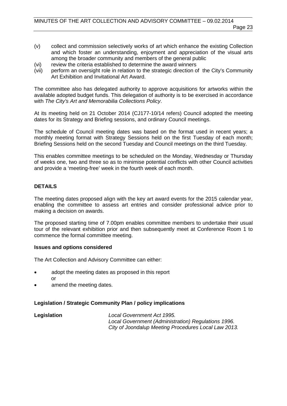- (v) collect and commission selectively works of art which enhance the existing Collection and which foster an understanding, enjoyment and appreciation of the visual arts among the broader community and members of the general public
- (vi) review the criteria established to determine the award winners<br>(vii) perform an oversight role in relation to the strategic direction of
- perform an oversight role in relation to the strategic direction of the City's Community Art Exhibition and Invitational Art Award.

The committee also has delegated authority to approve acquisitions for artworks within the available adopted budget funds. This delegation of authority is to be exercised in accordance with *The City's Art and Memorabilia Collections Policy*.

At its meeting held on 21 October 2014 (CJ177-10/14 refers) Council adopted the meeting dates for its Strategy and Briefing sessions, and ordinary Council meetings.

The schedule of Council meeting dates was based on the format used in recent years; a monthly meeting format with Strategy Sessions held on the first Tuesday of each month; Briefing Sessions held on the second Tuesday and Council meetings on the third Tuesday.

This enables committee meetings to be scheduled on the Monday, Wednesday or Thursday of weeks one, two and three so as to minimise potential conflicts with other Council activities and provide a 'meeting-free' week in the fourth week of each month.

# **DETAILS**

The meeting dates proposed align with the key art award events for the 2015 calendar year, enabling the committee to assess art entries and consider professional advice prior to making a decision on awards.

The proposed starting time of 7.00pm enables committee members to undertake their usual tour of the relevant exhibition prior and then subsequently meet at Conference Room 1 to commence the formal committee meeting.

# **Issues and options considered**

The Art Collection and Advisory Committee can either:

- adopt the meeting dates as proposed in this report or
- amend the meeting dates.

# **Legislation / Strategic Community Plan / policy implications**

**Legislation** *Local Government Act 1995. Local Government (Administration) Regulations 1996. City of Joondalup Meeting Procedures Local Law 2013.*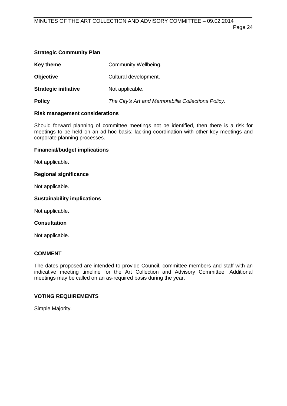#### **Strategic Community Plan**

| Key theme                   | Community Wellbeing.                               |
|-----------------------------|----------------------------------------------------|
| <b>Objective</b>            | Cultural development.                              |
| <b>Strategic initiative</b> | Not applicable.                                    |
| <b>Policy</b>               | The City's Art and Memorabilia Collections Policy. |

# **Risk management considerations**

Should forward planning of committee meetings not be identified, then there is a risk for meetings to be held on an ad-hoc basis; lacking coordination with other key meetings and corporate planning processes.

# **Financial/budget implications**

Not applicable.

# **Regional significance**

Not applicable.

# **Sustainability implications**

Not applicable.

# **Consultation**

Not applicable.

# **COMMENT**

The dates proposed are intended to provide Council, committee members and staff with an indicative meeting timeline for the Art Collection and Advisory Committee. Additional meetings may be called on an as-required basis during the year.

# **VOTING REQUIREMENTS**

Simple Majority.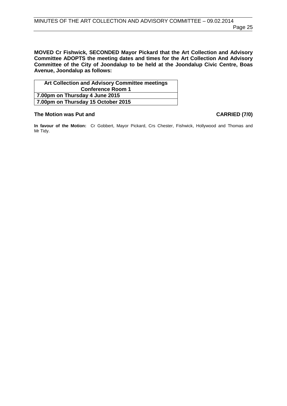**MOVED Cr Fishwick, SECONDED Mayor Pickard that the Art Collection and Advisory Committee ADOPTS the meeting dates and times for the Art Collection And Advisory Committee of the City of Joondalup to be held at the Joondalup Civic Centre, Boas Avenue, Joondalup as follows:**

| Art Collection and Advisory Committee meetings |  |
|------------------------------------------------|--|
| <b>Conference Room 1</b>                       |  |
| 7.00pm on Thursday 4 June 2015                 |  |
| 7.00pm on Thursday 15 October 2015             |  |

# **The Motion was Put and CARRIED (7/0)**

**In favour of the Motion:** Cr Gobbert, Mayor Pickard, Crs Chester, Fishwick, Hollywood and Thomas and Mr Tidy.